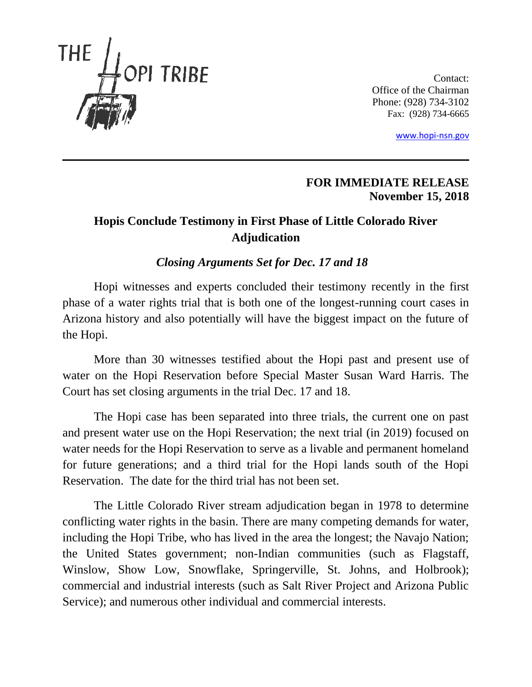

Contact: Office of the Chairman Phone: (928) 734-3102 Fax: (928) 734-6665

[www.hopi-nsn.gov](http://www.hopi-nsn.gov/)

## **FOR IMMEDIATE RELEASE November 15, 2018**

## **Hopis Conclude Testimony in First Phase of Little Colorado River Adjudication**

## *Closing Arguments Set for Dec. 17 and 18*

Hopi witnesses and experts concluded their testimony recently in the first phase of a water rights trial that is both one of the longest-running court cases in Arizona history and also potentially will have the biggest impact on the future of the Hopi.

More than 30 witnesses testified about the Hopi past and present use of water on the Hopi Reservation before Special Master Susan Ward Harris. The Court has set closing arguments in the trial Dec. 17 and 18.

The Hopi case has been separated into three trials, the current one on past and present water use on the Hopi Reservation; the next trial (in 2019) focused on water needs for the Hopi Reservation to serve as a livable and permanent homeland for future generations; and a third trial for the Hopi lands south of the Hopi Reservation. The date for the third trial has not been set.

The Little Colorado River stream adjudication began in 1978 to determine conflicting water rights in the basin. There are many competing demands for water, including the Hopi Tribe, who has lived in the area the longest; the Navajo Nation; the United States government; non-Indian communities (such as Flagstaff, Winslow, Show Low, Snowflake, Springerville, St. Johns, and Holbrook); commercial and industrial interests (such as Salt River Project and Arizona Public Service); and numerous other individual and commercial interests.